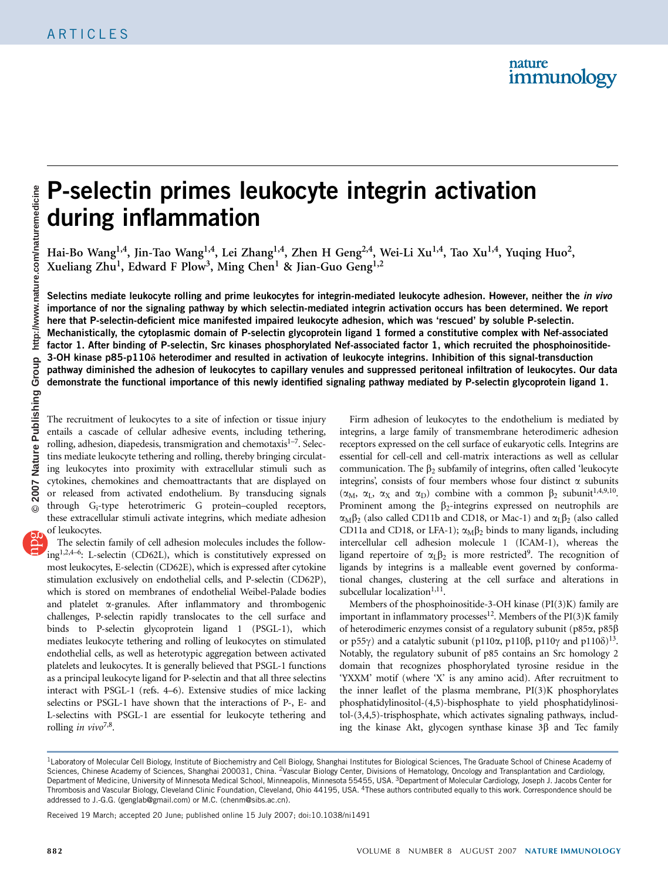# P-selectin primes leukocyte integrin activation during inflammation

Hai-Bo Wang<sup>1,4</sup>, Jin-Tao Wang<sup>1,4</sup>, Lei Zhang<sup>1,4</sup>, Zhen H Geng<sup>2,4</sup>, Wei-Li Xu<sup>1,4</sup>, Tao Xu<sup>1,4</sup>, Yuqing Huo<sup>2</sup>, Xueliang Zhu<sup>1</sup>, Edward F Plow<sup>3</sup>, Ming Chen<sup>1</sup> & Jian-Guo Geng<sup>1,2</sup>

Selectins mediate leukocyte rolling and prime leukocytes for integrin-mediated leukocyte adhesion. However, neither the *in vivo* importance of nor the signaling pathway by which selectin-mediated integrin activation occurs has been determined. We report here that P-selectin-deficient mice manifested impaired leukocyte adhesion, which was 'rescued' by soluble P-selectin. Mechanistically, the cytoplasmic domain of P-selectin glycoprotein ligand 1 formed a constitutive complex with Nef-associated factor 1. After binding of P-selectin, Src kinases phosphorylated Nef-associated factor 1, which recruited the phosphoinositide-3-OH kinase p85-p110d heterodimer and resulted in activation of leukocyte integrins. Inhibition of this signal-transduction pathway diminished the adhesion of leukocytes to capillary venules and suppressed peritoneal infiltration of leukocytes. Our data demonstrate the functional importance of this newly identified signaling pathway mediated by P-selectin glycoprotein ligand 1.

The recruitment of leukocytes to a site of infection or tissue injury entails a cascade of cellular adhesive events, including tethering, rolling, adhesion, diapedesis, transmigration and chemotaxis<sup>1-7</sup>. Selectins mediate leukocyte tethering and rolling, thereby bringing circulating leukocytes into proximity with extracellular stimuli such as cytokines, chemokines and chemoattractants that are displayed on or released from activated endothelium. By transducing signals through Gi-type heterotrimeric G protein–coupled receptors, these extracellular stimuli activate integrins, which mediate adhesion of leukocytes.

The selectin family of cell adhesion molecules includes the followin[g1,2,4–6](#page-9-0): L-selectin (CD62L), which is constitutively expressed on most leukocytes, E-selectin (CD62E), which is expressed after cytokine stimulation exclusively on endothelial cells, and P-selectin (CD62P), which is stored on membranes of endothelial Weibel-Palade bodies and platelet  $\alpha$ -granules. After inflammatory and thrombogenic challenges, P-selectin rapidly translocates to the cell surface and binds to P-selectin glycoprotein ligand 1 (PSGL-1), which mediates leukocyte tethering and rolling of leukocytes on stimulated endothelial cells, as well as heterotypic aggregation between activated platelets and leukocytes. It is generally believed that PSGL-1 functions as a principal leukocyte ligand for P-selectin and that all three selectins interact with PSGL-1 (refs. 4–6). Extensive studies of mice lacking selectins or PSGL-1 have shown that the interactions of P-, E- and L-selectins with PSGL-1 are essential for leukocyte tethering and rolling in vivo<sup>7,8</sup>.

Firm adhesion of leukocytes to the endothelium is mediated by integrins, a large family of transmembrane heterodimeric adhesion receptors expressed on the cell surface of eukaryotic cells. Integrins are essential for cell-cell and cell-matrix interactions as well as cellular communication. The  $\beta_2$  subfamily of integrins, often called 'leukocyte integrins', consists of four members whose four distinct  $\alpha$  subunits  $(\alpha_M, \alpha_I, \alpha_X \text{ and } \alpha_D)$  combine with a common  $\beta_2$  subunit<sup>1,4,9,10</sup>. Prominent among the  $\beta_2$ -integrins expressed on neutrophils are  $\alpha_M \beta_2$  (also called CD11b and CD18, or Mac-1) and  $\alpha_L \beta_2$  (also called CD11a and CD18, or LFA-1);  $\alpha_M\beta_2$  binds to many ligands, including intercellular cell adhesion molecule 1 (ICAM-1), whereas the ligand repertoire of  $\alpha_L \beta_2$  is more restricted<sup>9</sup>. The recognition of ligands by integrins is a malleable event governed by conformational changes, clustering at the cell surface and alterations in subcellular localization<sup>1,11</sup>.

Members of the phosphoinositide-3-OH kinase (PI(3)K) family are important in inflammatory processes<sup>12</sup>. Members of the  $PI(3)K$  family of heterodimeric enzymes consist of a regulatory subunit (p85a, p85b or p55 $\gamma$ ) and a catalytic subunit (p110 $\alpha$ , p110 $\beta$ , p110 $\gamma$  and p110 $\delta$ )<sup>13</sup>. Notably, the regulatory subunit of p85 contains an Src homology 2 domain that recognizes phosphorylated tyrosine residue in the 'YXXM' motif (where 'X' is any amino acid). After recruitment to the inner leaflet of the plasma membrane, PI(3)K phosphorylates phosphatidylinositol-(4,5)-bisphosphate to yield phosphatidylinositol-(3,4,5)-trisphosphate, which activates signaling pathways, including the kinase Akt, glycogen synthase kinase  $3\beta$  and Tec family

Received 19 March; accepted 20 June; published online 15 July 2007; [doi:10.1038/ni1491](http://www.nature.com/doifinder/10.1038/niXXXX)

<sup>&</sup>lt;sup>1</sup> Laboratory of Molecular Cell Biology, Institute of Biochemistry and Cell Biology, Shanghai Institutes for Biological Sciences, The Graduate School of Chinese Academy of Sciences, Chinese Academy of Sciences, Shanghai 200031, China. <sup>2</sup>Vascular Biology Center, Divisions of Hematology, Oncology and Transplantation and Cardiology, Department of Medicine, University of Minnesota Medical School, Minneapolis, Minnesota 55455, USA. <sup>3</sup>Department of Molecular Cardiology, Joseph J. Jacobs Center for Thrombosis and Vascular Biology, Cleveland Clinic Foundation, Cleveland, Ohio 44195, USA. 4These authors contributed equally to this work. Correspondence should be addressed to J.-G.G. [\(genglab@gmail.com](mailto:genglab@gmail.com)) or M.C. [\(chenm@sibs.ac.cn\)](mailto:chenm@sibs.ac.cn).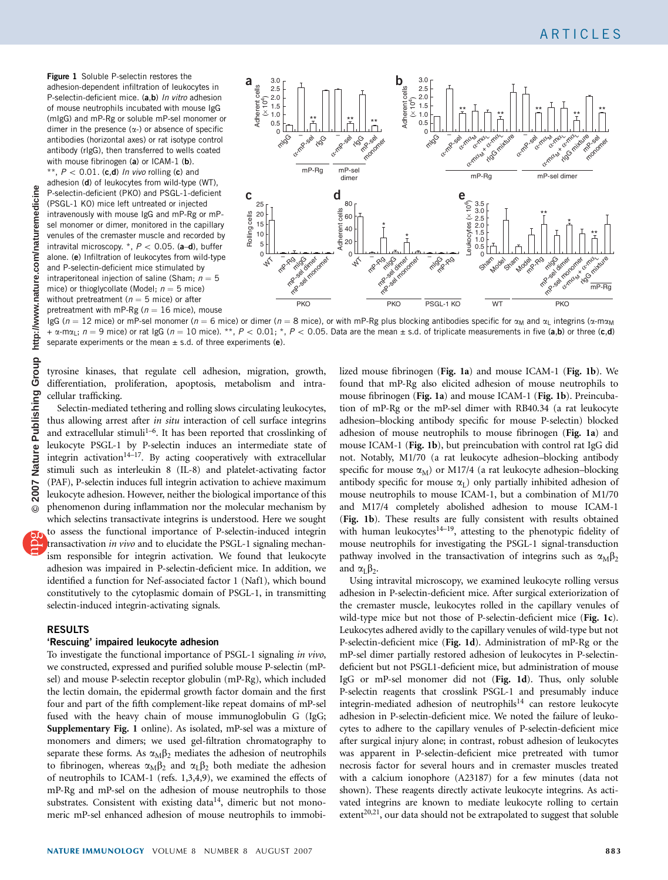http://www.nature.com/naturemedicine **7 Nature Publishing Group http://www.nature.com/naturemedicine**Group Nature Publishing **© 200**

<span id="page-1-0"></span>Figure 1 Soluble P-selectin restores the adhesion-dependent infiltration of leukocytes in P-selectin-deficient mice. (a.b) In vitro adhesion of mouse neutrophils incubated with mouse IgG (mIgG) and mP-Rg or soluble mP-sel monomer or dimer in the presence  $(\alpha$ -) or absence of specific antibodies (horizontal axes) or rat isotype control antibody (rIgG), then transferred to wells coated with mouse fibrinogen (a) or ICAM-1 (b).

\*\*,  $P < 0.01$ . (c,d) In vivo rolling (c) and adhesion (d) of leukocytes from wild-type (WT), P-selectin-deficient (PKO) and PSGL-1-deficient (PSGL-1 KO) mice left untreated or injected intravenously with mouse IgG and mP-Rg or mPsel monomer or dimer, monitored in the capillary venules of the cremaster muscle and recorded by intravital microscopy.  $*, P < 0.05$ . (a–d), buffer alone. (e) Infiltration of leukocytes from wild-type and P-selectin-deficient mice stimulated by intraperitoneal injection of saline (Sham;  $n = 5$ mice) or thioglycollate (Model;  $n = 5$  mice) without pretreatment ( $n = 5$  mice) or after pretreatment with mP-Rg ( $n = 16$  mice), mouse



IgG ( $n = 12$  mice) or mP-sel monomer ( $n = 6$  mice) or dimer ( $n = 8$  mice), or with mP-Rg plus blocking antibodies specific for  $\alpha_M$  and  $\alpha_L$  integrins ( $\alpha$ -m $\alpha_M$ +  $\alpha$ -m $\alpha$ <sub>L</sub>;  $n = 9$  mice) or rat IgG ( $n = 10$  mice). \*\*,  $P < 0.01$ ; \*,  $P < 0.05$ . Data are the mean  $\pm$  s.d. of triplicate measurements in five (a,b) or three (c,d) separate experiments or the mean  $\pm$  s.d. of three experiments (e).

tyrosine kinases, that regulate cell adhesion, migration, growth, differentiation, proliferation, apoptosis, metabolism and intracellular trafficking.

Selectin-mediated tethering and rolling slows circulating leukocytes, thus allowing arrest after in situ interaction of cell surface integrins and extracellular stimuli<sup>1-6</sup>. It has been reported that crosslinking of leukocyte PSGL-1 by P-selectin induces an intermediate state of integrin activation<sup>14–17</sup>. By acting cooperatively with extracellular stimuli such as interleukin 8 (IL-8) and platelet-activating factor (PAF), P-selectin induces full integrin activation to achieve maximum leukocyte adhesion. However, neither the biological importance of this phenomenon during inflammation nor the molecular mechanism by which selectins transactivate integrins is understood. Here we sought to assess the functional importance of P-selectin-induced integrin

transactivation in vivo and to elucidate the PSGL-1 signaling mechanism responsible for integrin activation. We found that leukocyte adhesion was impaired in P-selectin-deficient mice. In addition, we identified a function for Nef-associated factor 1 (Naf1), which bound constitutively to the cytoplasmic domain of PSGL-1, in transmitting selectin-induced integrin-activating signals.

# RESULTS

## 'Rescuing' impaired leukocyte adhesion

To investigate the functional importance of PSGL-1 signaling in vivo, we constructed, expressed and purified soluble mouse P-selectin (mPsel) and mouse P-selectin receptor globulin (mP-Rg), which included the lectin domain, the epidermal growth factor domain and the first four and part of the fifth complement-like repeat domains of mP-sel fused with the heavy chain of mouse immunoglobulin G (IgG; Supplementary Fig. 1 online). As isolated, mP-sel was a mixture of monomers and dimers; we used gel-filtration chromatography to separate these forms. As  $\alpha_M \beta_2$  mediates the adhesion of neutrophils to fibrinogen, whereas  $\alpha_M \beta_2$  and  $\alpha_L \beta_2$  both mediate the adhesion of neutrophils to ICAM-1 (refs. 1,3,4,9), we examined the effects of mP-Rg and mP-sel on the adhesion of mouse neutrophils to those substrates. Consistent with existing data<sup>[14](#page-9-0)</sup>, dimeric but not monomeric mP-sel enhanced adhesion of mouse neutrophils to immobi-

lized mouse fibrinogen (Fig. 1a) and mouse ICAM-1 (Fig. 1b). We found that mP-Rg also elicited adhesion of mouse neutrophils to mouse fibrinogen (Fig. 1a) and mouse ICAM-1 (Fig. 1b). Preincubation of mP-Rg or the mP-sel dimer with RB40.34 (a rat leukocyte adhesion–blocking antibody specific for mouse P-selectin) blocked adhesion of mouse neutrophils to mouse fibrinogen (Fig. 1a) and mouse ICAM-1 (Fig. 1b), but preincubation with control rat IgG did not. Notably, M1/70 (a rat leukocyte adhesion–blocking antibody specific for mouse  $\alpha_M$ ) or M17/4 (a rat leukocyte adhesion–blocking antibody specific for mouse  $\alpha_L$ ) only partially inhibited adhesion of mouse neutrophils to mouse ICAM-1, but a combination of M1/70 and M17/4 completely abolished adhesion to mouse ICAM-1 (Fig. 1b). These results are fully consistent with results obtained with human leukocytes $14-19$ , attesting to the phenotypic fidelity of mouse neutrophils for investigating the PSGL-1 signal-transduction pathway involved in the transactivation of integrins such as  $\alpha_M\beta_2$ and  $\alpha_L \beta_2$ .

Using intravital microscopy, we examined leukocyte rolling versus adhesion in P-selectin-deficient mice. After surgical exteriorization of the cremaster muscle, leukocytes rolled in the capillary venules of wild-type mice but not those of P-selectin-deficient mice (Fig. 1c). Leukocytes adhered avidly to the capillary venules of wild-type but not P-selectin-deficient mice (Fig. 1d). Administration of mP-Rg or the mP-sel dimer partially restored adhesion of leukocytes in P-selectindeficient but not PSGL1-deficient mice, but administration of mouse IgG or mP-sel monomer did not (Fig. 1d). Thus, only soluble P-selectin reagents that crosslink PSGL-1 and presumably induce integrin-mediated adhesion of neutrophils<sup>14</sup> can restore leukocyte adhesion in P-selectin-deficient mice. We noted the failure of leukocytes to adhere to the capillary venules of P-selectin-deficient mice after surgical injury alone; in contrast, robust adhesion of leukocytes was apparent in P-selectin-deficient mice pretreated with tumor necrosis factor for several hours and in cremaster muscles treated with a calcium ionophore (A23187) for a few minutes (data not shown). These reagents directly activate leukocyte integrins. As activated integrins are known to mediate leukocyte rolling to certain extent<sup>20,21</sup>, our data should not be extrapolated to suggest that soluble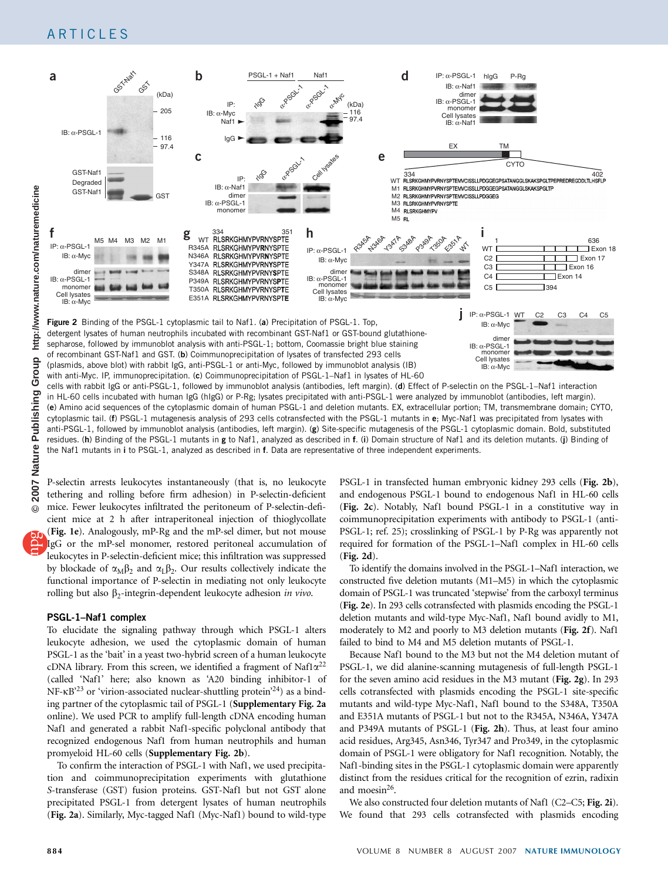<span id="page-2-0"></span>

in HL-60 cells incubated with human IgG (hIgG) or P-Rg; lysates precipitated with anti-PSGL-1 were analyzed by immunoblot (antibodies, left margin). (e) Amino acid sequences of the cytoplasmic domain of human PSGL-1 and deletion mutants. EX, extracellular portion; TM, transmembrane domain; CYTO, cytoplasmic tail. (f) PSGL-1 mutagenesis analysis of 293 cells cotransfected with the PSGL-1 mutants in e; Myc-Naf1 was precipitated from lysates with anti-PSGL-1, followed by immunoblot analysis (antibodies, left margin). (g) Site-specific mutagenesis of the PSGL-1 cytoplasmic domain. Bold, substituted residues. (h) Binding of the PSGL-1 mutants in g to Naf1, analyzed as described in f. (i) Domain structure of Naf1 and its deletion mutants. (j) Binding of the Naf1 mutants in i to PSGL-1, analyzed as described in f. Data are representative of three independent experiments.

P-selectin arrests leukocytes instantaneously (that is, no leukocyte tethering and rolling before firm adhesion) in P-selectin-deficient mice. Fewer leukocytes infiltrated the peritoneum of P-selectin-deficient mice at 2 h after intraperitoneal injection of thioglycollate ([Fig. 1e](#page-1-0)). Analogously, mP-Rg and the mP-sel dimer, but not mouse IgG or the mP-sel monomer, restored peritoneal accumulation of leukocytes in P-selectin-deficient mice; this infiltration was suppressed by blockade of  $\alpha_M \beta_2$  and  $\alpha_L \beta_2$ . Our results collectively indicate the functional importance of P-selectin in mediating not only leukocyte rolling but also  $\beta_2$ -integrin-dependent leukocyte adhesion in vivo.

#### PSGL-1–Naf1 complex

To elucidate the signaling pathway through which PSGL-1 alters leukocyte adhesion, we used the cytoplasmic domain of human PSGL-1 as the 'bait' in a yeast two-hybrid screen of a human leukocyte cDNA library. From this screen, we identified a fragment of Naf1 $\alpha^{22}$  $\alpha^{22}$  $\alpha^{22}$ (called 'Naf1' here; also known as 'A20 binding inhibitor-1 of  $NF-\kappa B^{23}$  or 'virion-associated nuclear-shuttling protein<sup>24</sup>) as a binding partner of the cytoplasmic tail of PSGL-1 (Supplementary Fig. 2a online). We used PCR to amplify full-length cDNA encoding human Naf1 and generated a rabbit Naf1-specific polyclonal antibody that recognized endogenous Naf1 from human neutrophils and human promyeloid HL-60 cells (Supplementary Fig. 2b).

To confirm the interaction of PSGL-1 with Naf1, we used precipitation and coimmunoprecipitation experiments with glutathione S-transferase (GST) fusion proteins. GST-Naf1 but not GST alone precipitated PSGL-1 from detergent lysates of human neutrophils (Fig. 2a). Similarly, Myc-tagged Naf1 (Myc-Naf1) bound to wild-type PSGL-1 in transfected human embryonic kidney 293 cells (Fig. 2b), and endogenous PSGL-1 bound to endogenous Naf1 in HL-60 cells (Fig. 2c). Notably, Naf1 bound PSGL-1 in a constitutive way in coimmunoprecipitation experiments with antibody to PSGL-1 (anti-PSGL-1; ref. 25); crosslinking of PSGL-1 by P-Rg was apparently not required for formation of the PSGL-1–Naf1 complex in HL-60 cells (Fig. 2d).

To identify the domains involved in the PSGL-1–Naf1 interaction, we constructed five deletion mutants (M1–M5) in which the cytoplasmic domain of PSGL-1 was truncated 'stepwise' from the carboxyl terminus (Fig. 2e). In 293 cells cotransfected with plasmids encoding the PSGL-1 deletion mutants and wild-type Myc-Naf1, Naf1 bound avidly to M1, moderately to M2 and poorly to M3 deletion mutants (Fig. 2f). Naf1 failed to bind to M4 and M5 deletion mutants of PSGL-1.

Because Naf1 bound to the M3 but not the M4 deletion mutant of PSGL-1, we did alanine-scanning mutagenesis of full-length PSGL-1 for the seven amino acid residues in the M3 mutant (Fig. 2g). In 293 cells cotransfected with plasmids encoding the PSGL-1 site-specific mutants and wild-type Myc-Naf1, Naf1 bound to the S348A, T350A and E351A mutants of PSGL-1 but not to the R345A, N346A, Y347A and P349A mutants of PSGL-1 (Fig. 2h). Thus, at least four amino acid residues, Arg345, Asn346, Tyr347 and Pro349, in the cytoplasmic domain of PSGL-1 were obligatory for Naf1 recognition. Notably, the Naf1-binding sites in the PSGL-1 cytoplasmic domain were apparently distinct from the residues critical for the recognition of ezrin, radixin and moesin[26](#page-9-0).

We also constructed four deletion mutants of Naf1 (C2–C5; Fig. 2i). We found that 293 cells cotransfected with plasmids encoding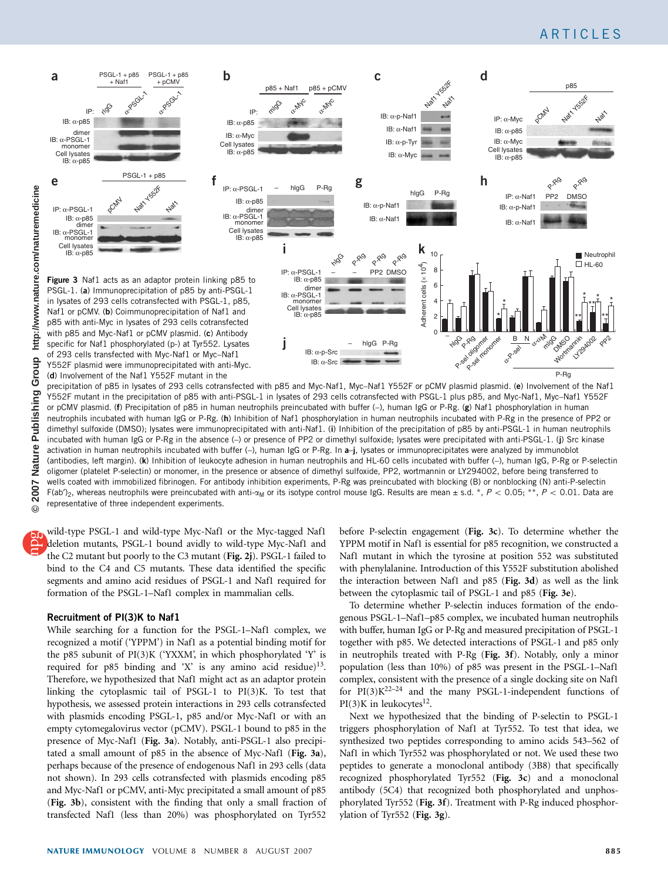<span id="page-3-0"></span>

precipitation of p85 in lysates of 293 cells cotransfected with p85 and Myc-Naf1, Myc-Naf1 Y552F or pCMV plasmid plasmid. (e) Involvement of the Naf1 Y552F mutant in the precipitation of p85 with anti-PSGL-1 in lysates of 293 cells cotransfected with PSGL-1 plus p85, and Myc-Naf1, Myc–Naf1 Y552F or pCMV plasmid. (f) Precipitation of p85 in human neutrophils preincubated with buffer (-), human IgG or P-Rg. (g) Naf1 phosphorylation in human neutrophils incubated with human IgG or P-Rg. (h) Inhibition of Naf1 phosphorylation in human neutrophils incubated with P-Rg in the presence of PP2 or dimethyl sulfoxide (DMSO); lysates were immunoprecipitated with anti-Naf1. (i) Inhibition of the precipitation of p85 by anti-PSGL-1 in human neutrophils incubated with human IgG or P-Rg in the absence (–) or presence of PP2 or dimethyl sulfoxide; lysates were precipitated with anti-PSGL-1. (j) Src kinase activation in human neutrophils incubated with buffer (–), human IgG or P-Rg. In a–j, lysates or immunoprecipitates were analyzed by immunoblot (antibodies, left margin). (k) Inhibition of leukocyte adhesion in human neutrophils and HL-60 cells incubated with buffer (–), human IgG, P-Rg or P-selectin oligomer (platelet P-selectin) or monomer, in the presence or absence of dimethyl sulfoxide, PP2, wortmannin or LY294002, before being transferred to wells coated with immobilized fibrinogen. For antibody inhibition experiments, P-Rg was preincubated with blocking (B) or nonblocking (N) anti-P-selectin F(ab')<sub>2</sub>, whereas neutrophils were preincubated with anti- $\alpha_M$  or its isotype control mouse IgG. Results are mean  $\pm$  s.d. \*, P < 0.05; \*\*, P < 0.01. Data are representative of three independent experiments.

wild-type PSGL-1 and wild-type Myc-Naf1 or the Myc-tagged Naf1 deletion mutants, PSGL-1 bound avidly to wild-type Myc-Naf1 and the C2 mutant but poorly to the C3 mutant ([Fig. 2j](#page-2-0)). PSGL-1 failed to bind to the C4 and C5 mutants. These data identified the specific segments and amino acid residues of PSGL-1 and Naf1 required for formation of the PSGL-1–Naf1 complex in mammalian cells.

#### Recruitment of PI(3)K to Naf1

While searching for a function for the PSGL-1–Naf1 complex, we recognized a motif ('YPPM') in Naf1 as a potential binding motif for the p85 subunit of PI(3)K ('YXXM', in which phosphorylated 'Y' is required for p85 binding and 'X' is any amino acid residue)<sup>13</sup>. Therefore, we hypothesized that Naf1 might act as an adaptor protein linking the cytoplasmic tail of PSGL-1 to PI(3)K. To test that hypothesis, we assessed protein interactions in 293 cells cotransfected with plasmids encoding PSGL-1, p85 and/or Myc-Naf1 or with an empty cytomegalovirus vector (pCMV). PSGL-1 bound to p85 in the presence of Myc-Naf1 (Fig. 3a). Notably, anti-PSGL-1 also precipitated a small amount of p85 in the absence of Myc-Naf1 (Fig. 3a), perhaps because of the presence of endogenous Naf1 in 293 cells (data not shown). In 293 cells cotransfected with plasmids encoding p85 and Myc-Naf1 or pCMV, anti-Myc precipitated a small amount of p85 (Fig. 3b), consistent with the finding that only a small fraction of transfected Naf1 (less than 20%) was phosphorylated on Tyr552 before P-selectin engagement (Fig. 3c). To determine whether the YPPM motif in Naf1 is essential for p85 recognition, we constructed a Naf1 mutant in which the tyrosine at position 552 was substituted with phenylalanine. Introduction of this Y552F substitution abolished the interaction between Naf1 and p85 (Fig. 3d) as well as the link between the cytoplasmic tail of PSGL-1 and p85 (Fig. 3e).

To determine whether P-selectin induces formation of the endogenous PSGL-1–Naf1–p85 complex, we incubated human neutrophils with buffer, human IgG or P-Rg and measured precipitation of PSGL-1 together with p85. We detected interactions of PSGL-1 and p85 only in neutrophils treated with P-Rg (Fig. 3f). Notably, only a minor population (less than 10%) of p85 was present in the PSGL-1–Naf1 complex, consistent with the presence of a single docking site on Naf1 for  $PI(3)K^{22-24}$  and the many PSGL-1-independent functions of  $PI(3)K$  in leukocytes<sup>12</sup>.

Next we hypothesized that the binding of P-selectin to PSGL-1 triggers phosphorylation of Naf1 at Tyr552. To test that idea, we synthesized two peptides corresponding to amino acids 543–562 of Naf1 in which Tyr552 was phosphorylated or not. We used these two peptides to generate a monoclonal antibody (3B8) that specifically recognized phosphorylated Tyr552 (Fig. 3c) and a monoclonal antibody (5C4) that recognized both phosphorylated and unphosphorylated Tyr552 (Fig. 3f). Treatment with P-Rg induced phosphorylation of Tyr552 (Fig. 3g).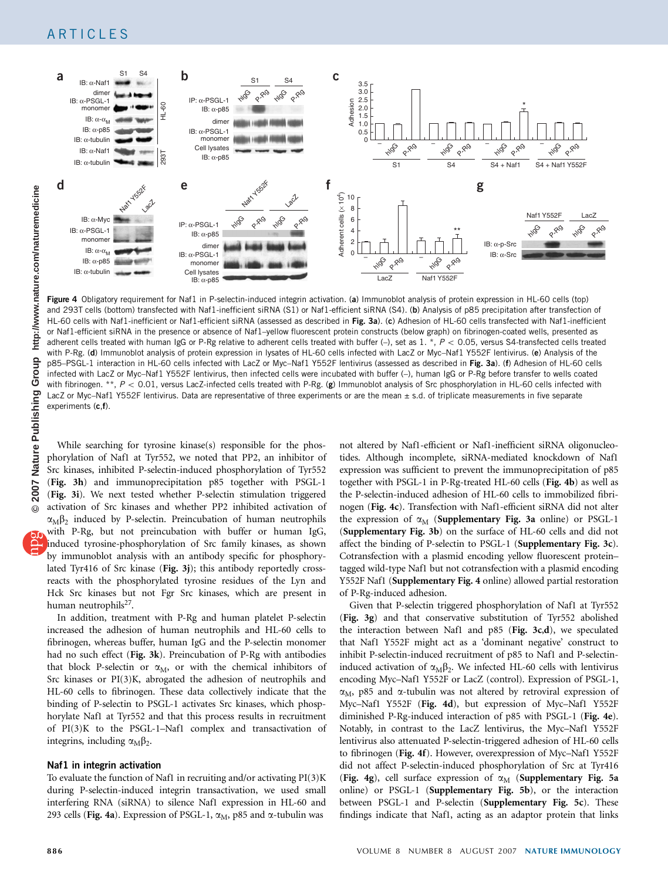

Figure 4 Obligatory requirement for Naf1 in P-selectin-induced integrin activation. (a) Immunoblot analysis of protein expression in HL-60 cells (top) and 293T cells (bottom) transfected with Naf1-inefficient siRNA (S1) or Naf1-efficient siRNA (S4). (b) Analysis of p85 precipitation after transfection of HL-60 cells with Naf1-inefficient or Naf1-efficient siRNA (assessed as described in [Fig. 3a](#page-3-0)). (c) Adhesion of HL-60 cells transfected with Naf1-inefficient or Naf1-efficient siRNA in the presence or absence of Naf1–yellow fluorescent protein constructs (below graph) on fibrinogen-coated wells, presented as adherent cells treated with human IgG or P-Rg relative to adherent cells treated with buffer  $(-)$ , set as 1. \*,  $P < 0.05$ , versus S4-transfected cells treated with P-Rg. (d) Immunoblot analysis of protein expression in lysates of HL-60 cells infected with LacZ or Myc–Naf1 Y552F lentivirus. (e) Analysis of the p85-PSGL-1 interaction in HL-60 cells infected with LacZ or Myc-Naf1 Y552F lentivirus (assessed as described in [Fig. 3a](#page-3-0)). (f) Adhesion of HL-60 cells infected with LacZ or Myc–Naf1 Y552F lentivirus, then infected cells were incubated with buffer (–), human IgG or P-Rg before transfer to wells coated with fibrinogen. \*\*,  $P < 0.01$ , versus LacZ-infected cells treated with P-Rg. (g) Immunoblot analysis of Src phosphorylation in HL-60 cells infected with LacZ or Myc–Naf1 Y552F lentivirus. Data are representative of three experiments or are the mean ± s.d. of triplicate measurements in five separate experiments (c,f).

While searching for tyrosine kinase(s) responsible for the phosphorylation of Naf1 at Tyr552, we noted that PP2, an inhibitor of Src kinases, inhibited P-selectin-induced phosphorylation of Tyr552 ([Fig. 3h](#page-3-0)) and immunoprecipitation p85 together with PSGL-1 ([Fig. 3i](#page-3-0)). We next tested whether P-selectin stimulation triggered activation of Src kinases and whether PP2 inhibited activation of

 $\alpha_M \beta_2$  induced by P-selectin. Preincubation of human neutrophils with P-Rg, but not preincubation with buffer or human IgG, induced tyrosine-phosphorylation of Src family kinases, as shown by immunoblot analysis with an antibody specific for phosphorylated Tyr416 of Src kinase ([Fig. 3j](#page-3-0)); this antibody reportedly crossreacts with the phosphorylated tyrosine residues of the Lyn and Hck Src kinases but not Fgr Src kinases, which are present in human neutrophils $^{27}$ .

In addition, treatment with P-Rg and human platelet P-selectin increased the adhesion of human neutrophils and HL-60 cells to fibrinogen, whereas buffer, human IgG and the P-selectin monomer had no such effect ([Fig. 3k](#page-3-0)). Preincubation of P-Rg with antibodies that block P-selectin or  $\alpha_M$ , or with the chemical inhibitors of Src kinases or PI(3)K, abrogated the adhesion of neutrophils and HL-60 cells to fibrinogen. These data collectively indicate that the binding of P-selectin to PSGL-1 activates Src kinases, which phosphorylate Naf1 at Tyr552 and that this process results in recruitment of PI(3)K to the PSGL-1–Naf1 complex and transactivation of integrins, including  $\alpha_{\text{M}}\beta_2$ .

#### Naf1 in integrin activation

To evaluate the function of Naf1 in recruiting and/or activating PI(3)K during P-selectin-induced integrin transactivation, we used small interfering RNA (siRNA) to silence Naf1 expression in HL-60 and 293 cells (Fig. 4a). Expression of PSGL-1,  $\alpha_M$ , p85 and  $\alpha$ -tubulin was

not altered by Naf1-efficient or Naf1-inefficient siRNA oligonucleotides. Although incomplete, siRNA-mediated knockdown of Naf1 expression was sufficient to prevent the immunoprecipitation of p85 together with PSGL-1 in P-Rg-treated HL-60 cells (Fig. 4b) as well as the P-selectin-induced adhesion of HL-60 cells to immobilized fibrinogen (Fig. 4c). Transfection with Naf1-efficient siRNA did not alter the expression of  $\alpha_M$  (Supplementary Fig. 3a online) or PSGL-1 (Supplementary Fig. 3b) on the surface of HL-60 cells and did not affect the binding of P-selectin to PSGL-1 (Supplementary Fig. 3c). Cotransfection with a plasmid encoding yellow fluorescent protein– tagged wild-type Naf1 but not cotransfection with a plasmid encoding Y552F Naf1 (Supplementary Fig. 4 online) allowed partial restoration of P-Rg-induced adhesion.

Given that P-selectin triggered phosphorylation of Naf1 at Tyr552 ([Fig. 3g](#page-3-0)) and that conservative substitution of Tyr552 abolished the interaction between Naf1 and p85 ([Fig. 3c](#page-3-0),d), we speculated that Naf1 Y552F might act as a 'dominant negative' construct to inhibit P-selectin-induced recruitment of p85 to Naf1 and P-selectininduced activation of  $\alpha_M \beta_2$ . We infected HL-60 cells with lentivirus encoding Myc–Naf1 Y552F or LacZ (control). Expression of PSGL-1,  $\alpha_M$ , p85 and  $\alpha$ -tubulin was not altered by retroviral expression of Myc–Naf1 Y552F (Fig. 4d), but expression of Myc–Naf1 Y552F diminished P-Rg-induced interaction of p85 with PSGL-1 (Fig. 4e). Notably, in contrast to the LacZ lentivirus, the Myc–Naf1 Y552F lentivirus also attenuated P-selectin-triggered adhesion of HL-60 cells to fibrinogen (Fig. 4f). However, overexpression of Myc–Naf1 Y552F did not affect P-selectin-induced phosphorylation of Src at Tyr416 (Fig. 4g), cell surface expression of  $\alpha_M$  (Supplementary Fig. 5a online) or PSGL-1 (Supplementary Fig. 5b), or the interaction between PSGL-1 and P-selectin (Supplementary Fig. 5c). These findings indicate that Naf1, acting as an adaptor protein that links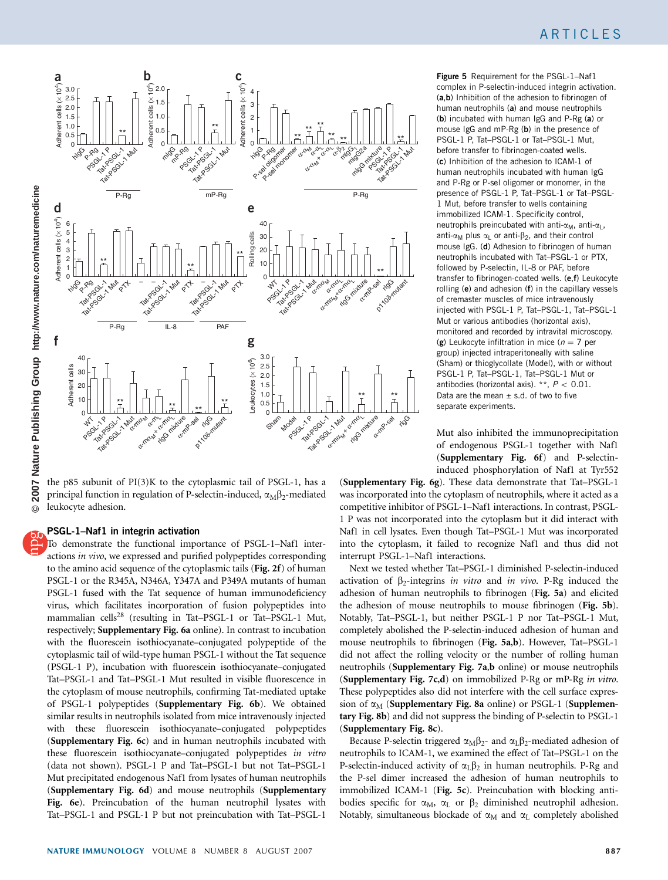<span id="page-5-0"></span>

the p85 subunit of PI(3)K to the cytoplasmic tail of PSGL-1, has a principal function in regulation of P-selectin-induced,  $\alpha_M \beta_2$ -mediated leukocyte adhesion.

## PSGL-1–Naf1 in integrin activation

To demonstrate the functional importance of PSGL-1–Naf1 interactions in vivo, we expressed and purified polypeptides corresponding to the amino acid sequence of the cytoplasmic tails ([Fig. 2f](#page-2-0)) of human PSGL-1 or the R345A, N346A, Y347A and P349A mutants of human PSGL-1 fused with the Tat sequence of human immunodeficiency virus, which facilitates incorporation of fusion polypeptides into mammalian cells[28](#page-9-0) (resulting in Tat–PSGL-1 or Tat–PSGL-1 Mut, respectively; Supplementary Fig. 6a online). In contrast to incubation with the fluorescein isothiocyanate–conjugated polypeptide of the cytoplasmic tail of wild-type human PSGL-1 without the Tat sequence (PSGL-1 P), incubation with fluorescein isothiocyanate–conjugated Tat–PSGL-1 and Tat–PSGL-1 Mut resulted in visible fluorescence in the cytoplasm of mouse neutrophils, confirming Tat-mediated uptake of PSGL-1 polypeptides (Supplementary Fig. 6b). We obtained similar results in neutrophils isolated from mice intravenously injected with these fluorescein isothiocyanate–conjugated polypeptides (Supplementary Fig. 6c) and in human neutrophils incubated with these fluorescein isothiocyanate–conjugated polypeptides in vitro (data not shown). PSGL-1 P and Tat–PSGL-1 but not Tat–PSGL-1 Mut precipitated endogenous Naf1 from lysates of human neutrophils (Supplementary Fig. 6d) and mouse neutrophils (Supplementary Fig. 6e). Preincubation of the human neutrophil lysates with Tat–PSGL-1 and PSGL-1 P but not preincubation with Tat–PSGL-1

Figure 5 Requirement for the PSGL-1-Naf1 complex in P-selectin-induced integrin activation. (a,b) Inhibition of the adhesion to fibrinogen of human neutrophils (a) and mouse neutrophils (b) incubated with human IgG and P-Rg (a) or mouse IgG and mP-Rg (b) in the presence of PSGL-1 P, Tat–PSGL-1 or Tat–PSGL-1 Mut, before transfer to fibrinogen-coated wells. (c) Inhibition of the adhesion to ICAM-1 of human neutrophils incubated with human IgG and P-Rg or P-sel oligomer or monomer, in the presence of PSGL-1 P, Tat–PSGL-1 or Tat–PSGL-1 Mut, before transfer to wells containing immobilized ICAM-1. Specificity control, neutrophils preincubated with anti- $\alpha_M$ , anti- $\alpha_L$ , anti- $\alpha_M$  plus  $\alpha_L$  or anti- $\beta_2$ , and their control mouse IgG. (d) Adhesion to fibrinogen of human neutrophils incubated with Tat–PSGL-1 or PTX, followed by P-selectin, IL-8 or PAF, before transfer to fibrinogen-coated wells. (e,f) Leukocyte rolling (e) and adhesion (f) in the capillary vessels of cremaster muscles of mice intravenously injected with PSGL-1 P, Tat–PSGL-1, Tat–PSGL-1 Mut or various antibodies (horizontal axis), monitored and recorded by intravital microscopy. (g) Leukocyte infiltration in mice ( $n = 7$  per group) injected intraperitoneally with saline (Sham) or thioglycollate (Model), with or without PSGL-1 P, Tat–PSGL-1, Tat–PSGL-1 Mut or antibodies (horizontal axis). \*\*,  $P < 0.01$ . Data are the mean  $\pm$  s.d. of two to five separate experiments.

Mut also inhibited the immunoprecipitation of endogenous PSGL-1 together with Naf1 (Supplementary Fig. 6f) and P-selectininduced phosphorylation of Naf1 at Tyr552

(Supplementary Fig. 6g). These data demonstrate that Tat–PSGL-1 was incorporated into the cytoplasm of neutrophils, where it acted as a competitive inhibitor of PSGL-1–Naf1 interactions. In contrast, PSGL-1 P was not incorporated into the cytoplasm but it did interact with Naf1 in cell lysates. Even though Tat–PSGL-1 Mut was incorporated into the cytoplasm, it failed to recognize Naf1 and thus did not interrupt PSGL-1–Naf1 interactions.

Next we tested whether Tat–PSGL-1 diminished P-selectin-induced activation of  $\beta_2$ -integrins in vitro and in vivo. P-Rg induced the adhesion of human neutrophils to fibrinogen (Fig. 5a) and elicited the adhesion of mouse neutrophils to mouse fibrinogen (Fig. 5b). Notably, Tat–PSGL-1, but neither PSGL-1 P nor Tat–PSGL-1 Mut, completely abolished the P-selectin-induced adhesion of human and mouse neutrophils to fibrinogen (Fig. 5a,b). However, Tat–PSGL-1 did not affect the rolling velocity or the number of rolling human neutrophils (Supplementary Fig. 7a,b online) or mouse neutrophils (Supplementary Fig. 7c,d) on immobilized P-Rg or mP-Rg in vitro. These polypeptides also did not interfere with the cell surface expression of  $\alpha_M$  (Supplementary Fig. 8a online) or PSGL-1 (Supplementary Fig. 8b) and did not suppress the binding of P-selectin to PSGL-1 (Supplementary Fig. 8c).

Because P-selectin triggered  $\alpha_M \beta_2$ - and  $\alpha_L \beta_2$ -mediated adhesion of neutrophils to ICAM-1, we examined the effect of Tat–PSGL-1 on the P-selectin-induced activity of  $\alpha$ <sub>L</sub> $\beta$ <sub>2</sub> in human neutrophils. P-Rg and the P-sel dimer increased the adhesion of human neutrophils to immobilized ICAM-1 (Fig. 5c). Preincubation with blocking antibodies specific for  $\alpha_M$ ,  $\alpha_L$  or  $\beta_2$  diminished neutrophil adhesion. Notably, simultaneous blockade of  $\alpha_M$  and  $\alpha_L$  completely abolished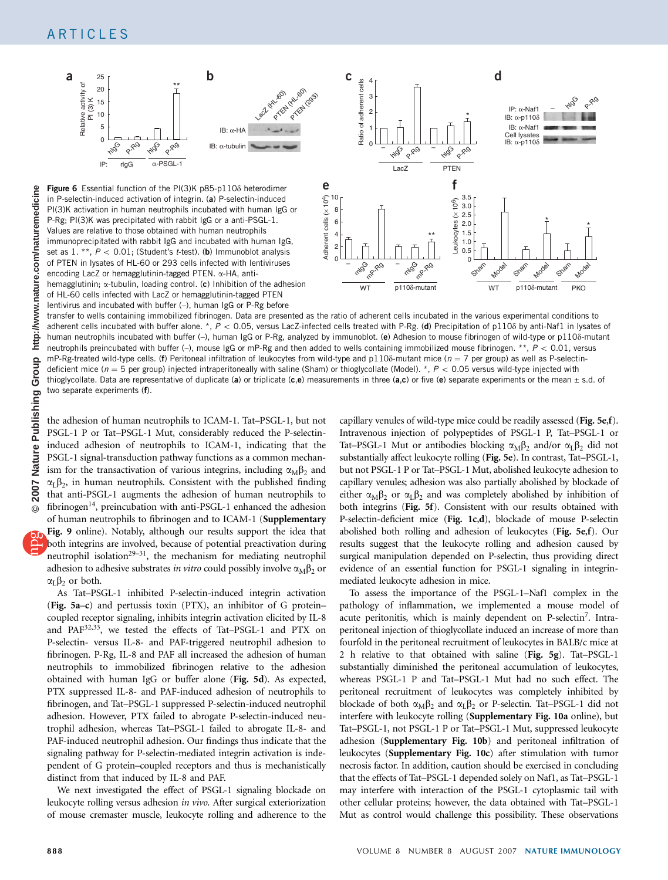

in P-selectin-induced activation of integrin. (a) P-selectin-induced PI(3)K activation in human neutrophils incubated with human IgG or P-Rg; PI(3)K was precipitated with rabbit IgG or a anti-PSGL-1. Values are relative to those obtained with human neutrophils immunoprecipitated with rabbit IgG and incubated with human IgG, set as 1. \*\*,  $P < 0.01$ ; (Student's t-test). (b) Immunoblot analysis of PTEN in lysates of HL-60 or 293 cells infected with lentiviruses encoding LacZ or hemagglutinin-tagged PTEN. a-HA, antihemagglutinin;  $\alpha$ -tubulin, loading control. (c) Inhibition of the adhesion of HL-60 cells infected with LacZ or hemagglutinin-tagged PTEN lentivirus and incubated with buffer (–), human IgG or P-Rg before

<span id="page-6-0"></span>

transfer to wells containing immobilized fibrinogen. Data are presented as the ratio of adherent cells incubated in the various experimental conditions to adherent cells incubated with buffer alone. \*,  $P < 0.05$ , versus LacZ-infected cells treated with P-Rg. (d) Precipitation of p110 $\delta$  by anti-Naf1 in lysates of human neutrophils incubated with buffer (-), human IgG or P-Rg, analyzed by immunoblot. (e) Adhesion to mouse fibrinogen of wild-type or p1108-mutant neutrophils preincubated with buffer (-), mouse IgG or mP-Rg and then added to wells containing immobilized mouse fibrinogen. \*\*,  $P < 0.01$ , versus mP-Rg-treated wild-type cells. (f) Peritoneal infiltration of leukocytes from wild-type and p110 $\delta$ -mutant mice ( $n = 7$  per group) as well as P-selectindeficient mice ( $n = 5$  per group) injected intraperitoneally with saline (Sham) or thioglycollate (Model). \*,  $P < 0.05$  versus wild-type injected with thioglycollate. Data are representative of duplicate (a) or triplicate (c,e) measurements in three (a,c) or five (e) separate experiments or the mean  $\pm$  s.d. of two separate experiments (f).

the adhesion of human neutrophils to ICAM-1. Tat–PSGL-1, but not PSGL-1 P or Tat–PSGL-1 Mut, considerably reduced the P-selectininduced adhesion of neutrophils to ICAM-1, indicating that the PSGL-1 signal-transduction pathway functions as a common mechanism for the transactivation of various integrins, including  $\alpha_{\text{M}}\beta_2$  and  $\alpha$ <sub>L</sub> $\beta$ <sub>2</sub>, in human neutrophils. Consistent with the published finding that anti-PSGL-1 augments the adhesion of human neutrophils to fibrinogen<sup>14</sup>, preincubation with anti-PSGL-1 enhanced the adhesion of human neutrophils to fibrinogen and to ICAM-1 (Supplementary

Fig. 9 online). Notably, although our results support the idea that both integrins are involved, because of potential preactivation during neutrophil isolation<sup>29-31</sup>, the mechanism for mediating neutrophil adhesion to adhesive substrates in vitro could possibly involve  $\alpha_M\beta_2$  or  $\alpha_L \beta_2$  or both.

As Tat–PSGL-1 inhibited P-selectin-induced integrin activation ([Fig. 5a](#page-5-0)–c) and pertussis toxin (PTX), an inhibitor of G protein– coupled receptor signaling, inhibits integrin activation elicited by IL-8 and PAF[32,33](#page-9-0), we tested the effects of Tat–PSGL-1 and PTX on P-selectin- versus IL-8- and PAF-triggered neutrophil adhesion to fibrinogen. P-Rg, IL-8 and PAF all increased the adhesion of human neutrophils to immobilized fibrinogen relative to the adhesion obtained with human IgG or buffer alone ([Fig. 5d](#page-5-0)). As expected, PTX suppressed IL-8- and PAF-induced adhesion of neutrophils to fibrinogen, and Tat–PSGL-1 suppressed P-selectin-induced neutrophil adhesion. However, PTX failed to abrogate P-selectin-induced neutrophil adhesion, whereas Tat–PSGL-1 failed to abrogate IL-8- and PAF-induced neutrophil adhesion. Our findings thus indicate that the signaling pathway for P-selectin-mediated integrin activation is independent of G protein–coupled receptors and thus is mechanistically distinct from that induced by IL-8 and PAF.

We next investigated the effect of PSGL-1 signaling blockade on leukocyte rolling versus adhesion in vivo. After surgical exteriorization of mouse cremaster muscle, leukocyte rolling and adherence to the

capillary venules of wild-type mice could be readily assessed ([Fig. 5e](#page-5-0),f). Intravenous injection of polypeptides of PSGL-1 P, Tat–PSGL-1 or Tat–PSGL-1 Mut or antibodies blocking  $\alpha_M\beta_2$  and/or  $\alpha_L\beta_2$  did not substantially affect leukocyte rolling ([Fig. 5e](#page-5-0)). In contrast, Tat–PSGL-1, but not PSGL-1 P or Tat–PSGL-1 Mut, abolished leukocyte adhesion to capillary venules; adhesion was also partially abolished by blockade of either  $\alpha_M \beta_2$  or  $\alpha_L \beta_2$  and was completely abolished by inhibition of both integrins ([Fig. 5f](#page-5-0)). Consistent with our results obtained with P-selectin-deficient mice ([Fig. 1c](#page-1-0),d), blockade of mouse P-selectin abolished both rolling and adhesion of leukocytes ([Fig. 5e](#page-5-0),f). Our results suggest that the leukocyte rolling and adhesion caused by surgical manipulation depended on P-selectin, thus providing direct evidence of an essential function for PSGL-1 signaling in integrinmediated leukocyte adhesion in mice.

To assess the importance of the PSGL-1–Naf1 complex in the pathology of inflammation, we implemented a mouse model of acute peritonitis, which is mainly dependent on P-selectin<sup>7</sup>. Intraperitoneal injection of thioglycollate induced an increase of more than fourfold in the peritoneal recruitment of leukocytes in BALB/c mice at 2 h relative to that obtained with saline ([Fig. 5g](#page-5-0)). Tat–PSGL-1 substantially diminished the peritoneal accumulation of leukocytes, whereas PSGL-1 P and Tat–PSGL-1 Mut had no such effect. The peritoneal recruitment of leukocytes was completely inhibited by blockade of both  $\alpha_M\beta_2$  and  $\alpha_L\beta_2$  or P-selectin. Tat–PSGL-1 did not interfere with leukocyte rolling (Supplementary Fig. 10a online), but Tat–PSGL-1, not PSGL-1 P or Tat–PSGL-1 Mut, suppressed leukocyte adhesion (Supplementary Fig. 10b) and peritoneal infiltration of leukocytes (Supplementary Fig. 10c) after stimulation with tumor necrosis factor. In addition, caution should be exercised in concluding that the effects of Tat–PSGL-1 depended solely on Naf1, as Tat–PSGL-1 may interfere with interaction of the PSGL-1 cytoplasmic tail with other cellular proteins; however, the data obtained with Tat–PSGL-1 Mut as control would challenge this possibility. These observations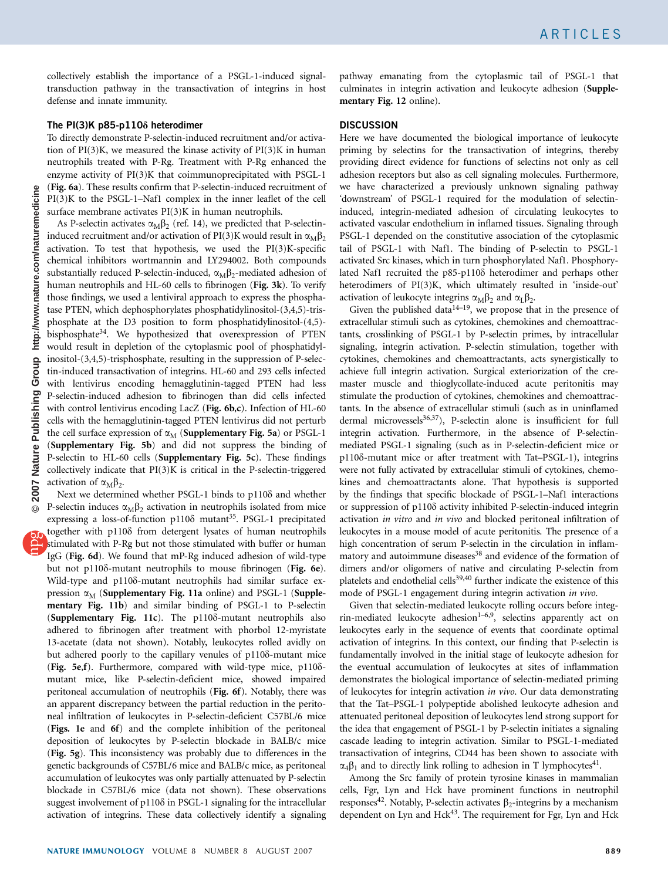collectively establish the importance of a PSGL-1-induced signaltransduction pathway in the transactivation of integrins in host defense and innate immunity.

### The PI(3)K  $p85-p110\delta$  heterodimer

To directly demonstrate P-selectin-induced recruitment and/or activation of  $PI(3)K$ , we measured the kinase activity of  $PI(3)K$  in human neutrophils treated with P-Rg. Treatment with P-Rg enhanced the enzyme activity of PI(3)K that coimmunoprecipitated with PSGL-1 ([Fig. 6a](#page-6-0)). These results confirm that P-selectin-induced recruitment of PI(3)K to the PSGL-1–Naf1 complex in the inner leaflet of the cell surface membrane activates PI(3)K in human neutrophils.

As P-selectin activates  $\alpha_M \beta_2$  (ref. 14), we predicted that P-selectininduced recruitment and/or activation of PI(3)K would result in  $\alpha_M\beta_2$ activation. To test that hypothesis, we used the PI(3)K-specific chemical inhibitors wortmannin and LY294002. Both compounds substantially reduced P-selectin-induced,  $\alpha_M \beta_2$ -mediated adhesion of human neutrophils and HL-60 cells to fibrinogen ([Fig. 3k](#page-3-0)). To verify those findings, we used a lentiviral approach to express the phosphatase PTEN, which dephosphorylates phosphatidylinositol-(3,4,5)-trisphosphate at the D3 position to form phosphatidylinositol-(4,5) bisphosphate $34$ . We hypothesized that overexpression of PTEN would result in depletion of the cytoplasmic pool of phosphatidylinositol-(3,4,5)-trisphosphate, resulting in the suppression of P-selectin-induced transactivation of integrins. HL-60 and 293 cells infected with lentivirus encoding hemagglutinin-tagged PTEN had less P-selectin-induced adhesion to fibrinogen than did cells infected with control lentivirus encoding LacZ ([Fig. 6b](#page-6-0),c). Infection of HL-60 cells with the hemagglutinin-tagged PTEN lentivirus did not perturb the cell surface expression of  $\alpha_M$  (Supplementary Fig. 5a) or PSGL-1 (Supplementary Fig. 5b) and did not suppress the binding of P-selectin to HL-60 cells (Supplementary Fig. 5c). These findings collectively indicate that PI(3)K is critical in the P-selectin-triggered activation of  $\alpha_M \beta_2$ .

Next we determined whether PSGL-1 binds to  $p110\delta$  and whether P-selectin induces  $\alpha_M \beta_2$  activation in neutrophils isolated from mice expressing a loss-of-function p110 $\delta$  mutant<sup>35</sup>. PSGL-1 precipitated together with p1108 from detergent lysates of human neutrophils stimulated with P-Rg but not those stimulated with buffer or human IgG ([Fig. 6d](#page-6-0)). We found that mP-Rg induced adhesion of wild-type but not p110 $\delta$ -mutant neutrophils to mouse fibrinogen ([Fig. 6e](#page-6-0)). Wild-type and p1108-mutant neutrophils had similar surface expression  $\alpha_M$  (Supplementary Fig. 11a online) and PSGL-1 (Supplementary Fig. 11b) and similar binding of PSGL-1 to P-selectin (Supplementary Fig. 11c). The p1108-mutant neutrophils also adhered to fibrinogen after treatment with phorbol 12-myristate 13-acetate (data not shown). Notably, leukocytes rolled avidly on but adhered poorly to the capillary venules of p1108-mutant mice ([Fig. 5e](#page-5-0),f). Furthermore, compared with wild-type mice,  $p110\delta$ mutant mice, like P-selectin-deficient mice, showed impaired peritoneal accumulation of neutrophils ([Fig. 6f](#page-6-0)). Notably, there was an apparent discrepancy between the partial reduction in the peritoneal infiltration of leukocytes in P-selectin-deficient C57BL/6 mice ([Figs. 1e](#page-1-0) and 6f) and the complete inhibition of the peritoneal deposition of leukocytes by P-selectin blockade in BALB/c mice ([Fig. 5g](#page-5-0)). This inconsistency was probably due to differences in the genetic backgrounds of C57BL/6 mice and BALB/c mice, as peritoneal accumulation of leukocytes was only partially attenuated by P-selectin blockade in C57BL/6 mice (data not shown). These observations suggest involvement of  $p110\delta$  in PSGL-1 signaling for the intracellular activation of integrins. These data collectively identify a signaling

pathway emanating from the cytoplasmic tail of PSGL-1 that culminates in integrin activation and leukocyte adhesion (Supplementary Fig. 12 online).

## **DISCUSSION**

Here we have documented the biological importance of leukocyte priming by selectins for the transactivation of integrins, thereby providing direct evidence for functions of selectins not only as cell adhesion receptors but also as cell signaling molecules. Furthermore, we have characterized a previously unknown signaling pathway 'downstream' of PSGL-1 required for the modulation of selectininduced, integrin-mediated adhesion of circulating leukocytes to activated vascular endothelium in inflamed tissues. Signaling through PSGL-1 depended on the constitutive association of the cytoplasmic tail of PSGL-1 with Naf1. The binding of P-selectin to PSGL-1 activated Src kinases, which in turn phosphorylated Naf1. Phosphorylated Naf1 recruited the p85-p1108 heterodimer and perhaps other heterodimers of PI(3)K, which ultimately resulted in 'inside-out' activation of leukocyte integrins  $\alpha_M \beta_2$  and  $\alpha_L \beta_2$ .

Given the published data $14-19$ , we propose that in the presence of extracellular stimuli such as cytokines, chemokines and chemoattractants, crosslinking of PSGL-1 by P-selectin primes, by intracellular signaling, integrin activation. P-selectin stimulation, together with cytokines, chemokines and chemoattractants, acts synergistically to achieve full integrin activation. Surgical exteriorization of the cremaster muscle and thioglycollate-induced acute peritonitis may stimulate the production of cytokines, chemokines and chemoattractants. In the absence of extracellular stimuli (such as in uninflamed dermal microvessels<sup>36,37</sup>), P-selectin alone is insufficient for full integrin activation. Furthermore, in the absence of P-selectinmediated PSGL-1 signaling (such as in P-selectin-deficient mice or p110d-mutant mice or after treatment with Tat–PSGL-1), integrins were not fully activated by extracellular stimuli of cytokines, chemokines and chemoattractants alone. That hypothesis is supported by the findings that specific blockade of PSGL-1–Naf1 interactions or suppression of p110 $\delta$  activity inhibited P-selectin-induced integrin activation in vitro and in vivo and blocked peritoneal infiltration of leukocytes in a mouse model of acute peritonitis. The presence of a high concentration of serum P-selectin in the circulation in inflammatory and autoimmune diseases<sup>38</sup> and evidence of the formation of dimers and/or oligomers of native and circulating P-selectin from platelets and endothelial cells<sup>39,40</sup> further indicate the existence of this mode of PSGL-1 engagement during integrin activation in vivo.

Given that selectin-mediated leukocyte rolling occurs before integrin-mediated leukocyte adhesion<sup>1-6,9</sup>, selectins apparently act on leukocytes early in the sequence of events that coordinate optimal activation of integrins. In this context, our finding that P-selectin is fundamentally involved in the initial stage of leukocyte adhesion for the eventual accumulation of leukocytes at sites of inflammation demonstrates the biological importance of selectin-mediated priming of leukocytes for integrin activation in vivo. Our data demonstrating that the Tat–PSGL-1 polypeptide abolished leukocyte adhesion and attenuated peritoneal deposition of leukocytes lend strong support for the idea that engagement of PSGL-1 by P-selectin initiates a signaling cascade leading to integrin activation. Similar to PSGL-1-mediated transactivation of integrins, CD44 has been shown to associate with  $\alpha_4\beta_1$  and to directly link rolling to adhesion in T lymphocytes<sup>[41](#page-10-0)</sup>.

Among the Src family of protein tyrosine kinases in mammalian cells, Fgr, Lyn and Hck have prominent functions in neutrophil responses<sup>42</sup>. Notably, P-selectin activates  $\beta_2$ -integrins by a mechanism dependent on Lyn and  $Hck<sup>43</sup>$ . The requirement for Fgr, Lyn and Hck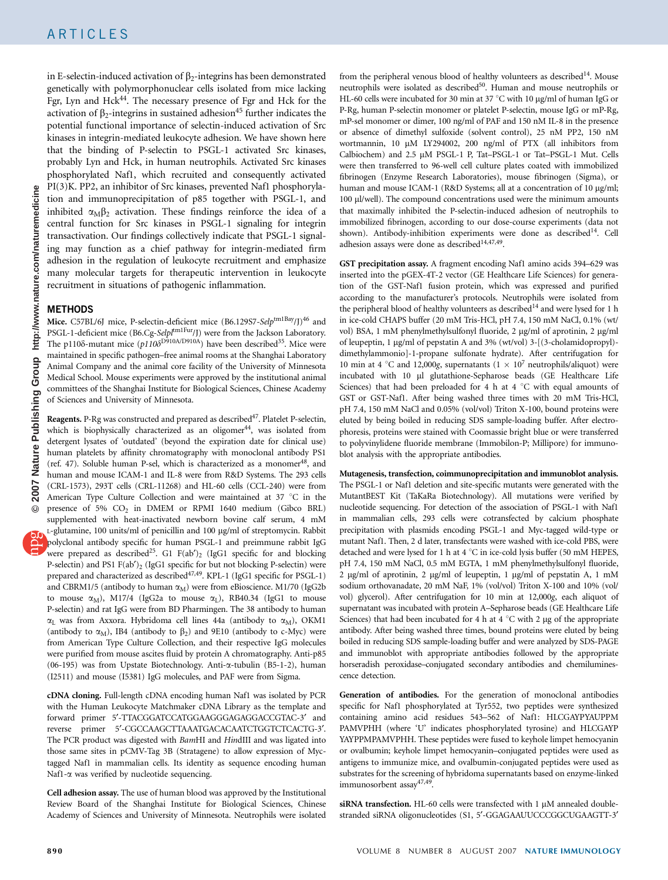in E-selectin-induced activation of  $\beta_2$ -integrins has been demonstrated genetically with polymorphonuclear cells isolated from mice lacking Fgr, Lyn and Hck<sup>44</sup>. The necessary presence of Fgr and Hck for the activation of  $\beta_2$ -integrins in sustained adhesion<sup>45</sup> further indicates the potential functional importance of selectin-induced activation of Src kinases in integrin-mediated leukocyte adhesion. We have shown here that the binding of P-selectin to PSGL-1 activated Src kinases, probably Lyn and Hck, in human neutrophils. Activated Src kinases phosphorylated Naf1, which recruited and consequently activated PI(3)K. PP2, an inhibitor of Src kinases, prevented Naf1 phosphorylation and immunoprecipitation of p85 together with PSGL-1, and inhibited  $\alpha_M \beta_2$  activation. These findings reinforce the idea of a central function for Src kinases in PSGL-1 signaling for integrin transactivation. Our findings collectively indicate that PSGL-1 signaling may function as a chief pathway for integrin-mediated firm adhesion in the regulation of leukocyte recruitment and emphasize many molecular targets for therapeutic intervention in leukocyte recruitment in situations of pathogenic inflammation.

## METHODS

Mice. C57BL/6J mice, P-selectin-deficient mice (B6.129S7-Selptm1Bay/J)<sup>46</sup> and PSGL-1-deficient mice (B6.Cg-Selp[tm1Fur/J) were from the Jackson Laboratory. The p110 $\delta$ -mutant mice (p110 $\delta$ <sup>D910A/D910A</sup>) have been described<sup>35</sup>. Mice were maintained in specific pathogen–free animal rooms at the Shanghai Laboratory Animal Company and the animal core facility of the University of Minnesota Medical School. Mouse experiments were approved by the institutional animal committees of the Shanghai Institute for Biological Sciences, Chinese Academy of Sciences and University of Minnesota.

Reagents. P-Rg was constructed and prepared as described<sup>47</sup>. Platelet P-selectin, which is biophysically characterized as an oligomer $44$ , was isolated from detergent lysates of 'outdated' (beyond the expiration date for clinical use) human platelets by affinity chromatography with monoclonal antibody PS1 (ref. 47). Soluble human P-sel, which is characterized as a monomer<sup>48</sup>, and human and mouse ICAM-1 and IL-8 were from R&D Systems. The 293 cells (CRL-1573), 293T cells (CRL-11268) and HL-60 cells (CCL-240) were from American Type Culture Collection and were maintained at 37  $^{\circ}$ C in the presence of 5% CO<sub>2</sub> in DMEM or RPMI 1640 medium (Gibco BRL) supplemented with heat-inactivated newborn bovine calf serum, 4 mM L-glutamine, 100 units/ml of penicillin and 100 µg/ml of streptomycin. Rabbit polyclonal antibody specific for human PSGL-1 and preimmune rabbit IgG were prepared as described<sup>[25](#page-9-0)</sup>. G1 F(ab')<sub>2</sub> (IgG1 specific for and blocking P-selectin) and PS1  $F(ab')_2$  (IgG1 specific for but not blocking P-selectin) were prepared and characterized as described<sup>47,49</sup>. KPL-1 (IgG1 specific for PSGL-1) and CBRM1/5 (antibody to human  $\alpha_M$ ) were from eBioscience. M1/70 (IgG2b to mouse  $\alpha_M$ ), M17/4 (IgG2a to mouse  $\alpha_L$ ), RB40.34 (IgG1 to mouse P-selectin) and rat IgG were from BD Pharmingen. The 38 antibody to human  $\alpha_L$  was from Axxora. Hybridoma cell lines 44a (antibody to  $\alpha_M$ ), OKM1 (antibody to  $\alpha_M$ ), IB4 (antibody to  $\beta_2$ ) and 9E10 (antibody to c-Myc) were from American Type Culture Collection, and their respective IgG molecules were purified from mouse ascites fluid by protein A chromatography. Anti-p85 (06-195) was from Upstate Biotechnology. Anti-a-tubulin (B5-1-2), human (I2511) and mouse (I5381) IgG molecules, and PAF were from Sigma.

cDNA cloning. Full-length cDNA encoding human Naf1 was isolated by PCR with the Human Leukocyte Matchmaker cDNA Library as the template and forward primer 5'-TTACGGATCCATGGAAGGGAGAGGACCGTAC-3' and reverse primer 5¢-CGCCAAGCTTAAATGACACAATCTGGTCTCACTG-3¢. The PCR product was digested with BamHI and HindIII and was ligated into those same sites in pCMV-Tag 3B (Stratagene) to allow expression of Myctagged Naf1 in mammalian cells. Its identity as sequence encoding human Naf1-a was verified by nucleotide sequencing.

Cell adhesion assay. The use of human blood was approved by the Institutional Review Board of the Shanghai Institute for Biological Sciences, Chinese Academy of Sciences and University of Minnesota. Neutrophils were isolated

from the peripheral venous blood of healthy volunteers as described<sup>[14](#page-9-0)</sup>. Mouse neutrophils were isolated as described<sup>[50](#page-10-0)</sup>. Human and mouse neutrophils or HL-60 cells were incubated for 30 min at 37  $\degree$ C with 10 µg/ml of human IgG or P-Rg, human P-selectin monomer or platelet P-selectin, mouse IgG or mP-Rg, mP-sel monomer or dimer, 100 ng/ml of PAF and 150 nM IL-8 in the presence or absence of dimethyl sulfoxide (solvent control), 25 nM PP2, 150 nM wortmannin, 10 µM LY294002, 200 ng/ml of PTX (all inhibitors from Calbiochem) and 2.5 µM PSGL-1 P, Tat-PSGL-1 or Tat-PSGL-1 Mut. Cells were then transferred to 96-well cell culture plates coated with immobilized fibrinogen (Enzyme Research Laboratories), mouse fibrinogen (Sigma), or human and mouse ICAM-1 (R&D Systems; all at a concentration of 10 µg/ml; 100 µl/well). The compound concentrations used were the minimum amounts that maximally inhibited the P-selectin-induced adhesion of neutrophils to immobilized fibrinogen, according to our dose-course experiments (data not shown). Antibody-inhibition experiments were done as described<sup>14</sup>. Cell adhesion assays were done as described<sup>14,47,49</sup>.

GST precipitation assay. A fragment encoding Naf1 amino acids 394–629 was inserted into the pGEX-4T-2 vector (GE Healthcare Life Sciences) for generation of the GST-Naf1 fusion protein, which was expressed and purified according to the manufacturer's protocols. Neutrophils were isolated from the peripheral blood of healthy volunteers as described $14$  and were lysed for 1 h in ice-cold CHAPS buffer (20 mM Tris-HCl, pH 7.4, 150 mM NaCl, 0.1% (wt/ vol) BSA, 1 mM phenylmethylsulfonyl fluoride, 2 µg/ml of aprotinin, 2 µg/ml of leupeptin, 1 µg/ml of pepstatin A and 3% (wt/vol) 3-[(3-cholamidopropyl)dimethylammonio]-1-propane sulfonate hydrate). After centrifugation for 10 min at 4 °C and 12,000g, supernatants ( $1 \times 10^7$  neutrophils/aliquot) were incubated with 10 µl glutathione-Sepharose beads (GE Healthcare Life Sciences) that had been preloaded for 4 h at 4  $\degree$ C with equal amounts of GST or GST-Naf1. After being washed three times with 20 mM Tris-HCl, pH 7.4, 150 mM NaCl and 0.05% (vol/vol) Triton X-100, bound proteins were eluted by being boiled in reducing SDS sample-loading buffer. After electrophoresis, proteins were stained with Coomassie bright blue or were transferred to polyvinylidene fluoride membrane (Immobilon-P; Millipore) for immunoblot analysis with the appropriate antibodies.

Mutagenesis, transfection, coimmunoprecipitation and immunoblot analysis. The PSGL-1 or Naf1 deletion and site-specific mutants were generated with the MutantBEST Kit (TaKaRa Biotechnology). All mutations were verified by nucleotide sequencing. For detection of the association of PSGL-1 with Naf1 in mammalian cells, 293 cells were cotransfected by calcium phosphate precipitation with plasmids encoding PSGL-1 and Myc-tagged wild-type or mutant Naf1. Then, 2 d later, transfectants were washed with ice-cold PBS, were detached and were lysed for 1 h at 4  $^{\circ}$ C in ice-cold lysis buffer (50 mM HEPES, pH 7.4, 150 mM NaCl, 0.5 mM EGTA, 1 mM phenylmethylsulfonyl fluoride, 2 µg/ml of aprotinin, 2 µg/ml of leupeptin, 1 µg/ml of pepstatin A, 1 mM sodium orthovanadate, 20 mM NaF, 1% (vol/vol) Triton X-100 and 10% (vol/ vol) glycerol). After centrifugation for 10 min at 12,000g, each aliquot of supernatant was incubated with protein A–Sepharose beads (GE Healthcare Life Sciences) that had been incubated for 4 h at 4  $\degree$ C with 2 µg of the appropriate antibody. After being washed three times, bound proteins were eluted by being boiled in reducing SDS sample-loading buffer and were analyzed by SDS-PAGE and immunoblot with appropriate antibodies followed by the appropriate horseradish peroxidase–conjugated secondary antibodies and chemiluminescence detection.

Generation of antibodies. For the generation of monoclonal antibodies specific for Naf1 phosphorylated at Tyr552, two peptides were synthesized containing amino acid residues 543–562 of Naf1: HLCGAYPYAUPPM PAMVPHH (where 'U' indicates phosphorylated tyrosine) and HLCGAYP YAYPPMPAMVPHH. These peptides were fused to keyhole limpet hemocyanin or ovalbumin; keyhole limpet hemocyanin–conjugated peptides were used as antigens to immunize mice, and ovalbumin-conjugated peptides were used as substrates for the screening of hybridoma supernatants based on enzyme-linked immunosorbent assa[y47,49.](#page-10-0)

siRNA transfection. HL-60 cells were transfected with  $1 \mu$ M annealed doublestranded siRNA oligonucleotides (S1, 5'-GGAGAAUUCCCGGCUGAAGTT-3'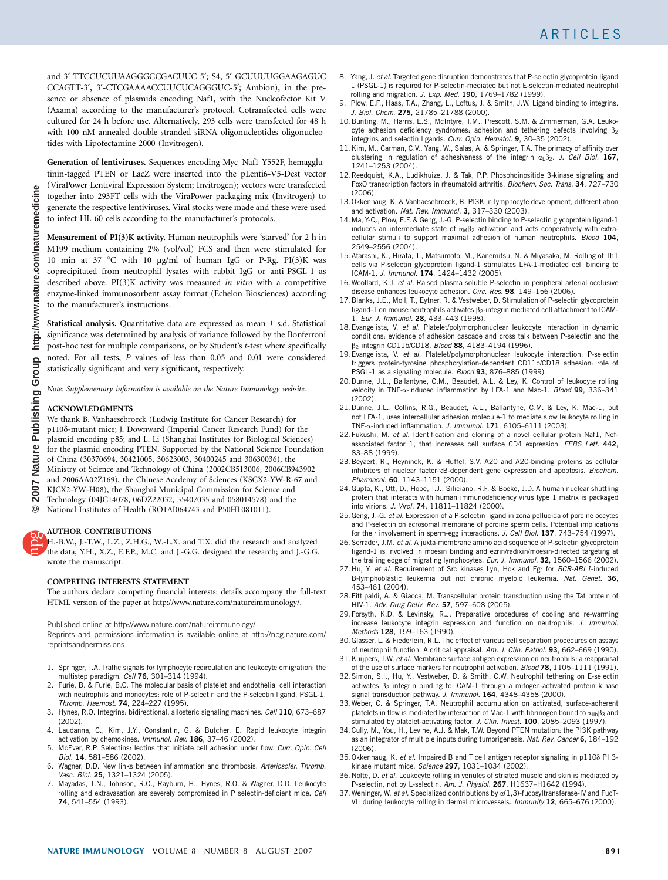<span id="page-9-0"></span>and 3'-TTCCUCUUAAGGGCCGACUUC-5'; S4, 5'-GCUUUUGGAAGAGUC CCAGTT-3¢, 3¢-CTCGAAAACCUUCUCAGGGUC-5¢; Ambion), in the presence or absence of plasmids encoding Naf1, with the Nucleofector Kit V (Axama) according to the manufacturer's protocol. Cotransfected cells were cultured for 24 h before use. Alternatively, 293 cells were transfected for 48 h with 100 nM annealed double-stranded siRNA oligonucleotides oligonucleotides with Lipofectamine 2000 (Invitrogen).

Generation of lentiviruses. Sequences encoding Myc–Naf1 Y552F, hemagglutinin-tagged PTEN or LacZ were inserted into the pLenti6-V5-Dest vector (ViraPower Lentiviral Expression System; Invitrogen); vectors were transfected together into 293FT cells with the ViraPower packaging mix (Invitrogen) to generate the respective lentiviruses. Viral stocks were made and these were used to infect HL-60 cells according to the manufacturer's protocols.

Measurement of PI(3)K activity. Human neutrophils were 'starved' for 2 h in M199 medium containing 2% (vol/vol) FCS and then were stimulated for 10 min at 37 °C with 10 µg/ml of human IgG or P-Rg. PI(3)K was coprecipitated from neutrophil lysates with rabbit IgG or anti-PSGL-1 as described above. PI(3)K activity was measured in vitro with a competitive enzyme-linked immunosorbent assay format (Echelon Biosciences) according to the manufacturer's instructions.

**Statistical analysis.** Quantitative data are expressed as mean  $\pm$  s.d. Statistical significance was determined by analysis of variance followed by the Bonferroni post-hoc test for multiple comparisons, or by Student's t-test where specifically noted. For all tests, P values of less than 0.05 and 0.01 were considered statistically significant and very significant, respectively.

Note: Supplementary information is available on the [Nature Immunology](http://www.nature.com/Nature Immunology) website.

#### ACKNOWLEDGMENTS

We thank B. Vanhaesebroeck (Ludwig Institute for Cancer Research) for p110d-mutant mice; J. Downward (Imperial Cancer Research Fund) for the plasmid encoding p85; and L. Li (Shanghai Institutes for Biological Sciences) for the plasmid encoding PTEN. Supported by the National Science Foundation of China (30370694, 30421005, 30623003, 30400245 and 30630036), the Ministry of Science and Technology of China (2002CB513006, 2006CB943902 and 2006AA02Z169), the Chinese Academy of Sciences (KSCX2-YW-R-67 and KJCX2-YW-H08), the Shanghai Municipal Commission for Science and Technology (04JC14078, 06DZ22032, 55407035 and 058014578) and the National Institutes of Health (RO1AI064743 and P50HL081011).

#### AUTHOR CONTRIBUTIONS

H.-B.W., J.-T.W., L.Z., Z.H.G., W.-L.X. and T.X. did the research and analyzed the data; Y.H., X.Z., E.F.P., M.C. and J.-G.G. designed the research; and J.-G.G. wrote the manuscript.

#### COMPETING INTERESTS STATEMENT

The authors declare competing financial interests: details accompany the full-text HTML version of the paper at http://www.nature.com/natureimmunology/.

Published online at [http://www.nature.com/natureimmunology/](http://www.nature.com/Nature Immunology)

Reprints and permissions information is available online at [http://npg.nature.com/](http://www.nature.com/reprintsandpermissions) [reprintsandpermissions](http://www.nature.com/reprintsandpermissions)

- 1. Springer, T.A. Traffic signals for lymphocyte recirculation and leukocyte emigration: the multistep paradigm. Cell 76, 301–314 (1994).
- 2. Furie, B. & Furie, B.C. The molecular basis of platelet and endothelial cell interaction with neutrophils and monocytes: role of P-selectin and the P-selectin ligand, PSGL-1. Thromb. Haemost. 74, 224–227 (1995).
- 3. Hynes, R.O. Integrins: bidirectional, allosteric signaling machines. Cell 110, 673–687 (2002).
- 4. Laudanna, C., Kim, J.Y., Constantin, G. & Butcher, E. Rapid leukocyte integrin activation by chemokines. Immunol. Rev. 186, 37-46 (2002).
- 5. McEver, R.P. Selectins: lectins that initiate cell adhesion under flow. Curr. Opin. Cell Biol. 14, 581–586 (2002).
- 6. Wagner, D.D. New links between inflammation and thrombosis. Arterioscler. Thromb. Vasc. Biol. 25, 1321–1324 (2005).
- 7. Mayadas, T.N., Johnson, R.C., Rayburn, H., Hynes, R.O. & Wagner, D.D. Leukocyte rolling and extravasation are severely compromised in P selectin-deficient mice. Cell 74, 541–554 (1993).
- 8. Yang, J. et al. Targeted gene disruption demonstrates that P-selectin glycoprotein ligand 1 (PSGL-1) is required for P-selectin-mediated but not E-selectin-mediated neutrophil rolling and migration. J. Exp. Med. 190, 1769–1782 (1999).
- 9. Plow, E.F., Haas, T.A., Zhang, L., Loftus, J. & Smith, J.W. Ligand binding to integrins. J. Biol. Chem. 275, 21785–21788 (2000).
- 10. Bunting, M., Harris, E.S., McIntyre, T.M., Prescott, S.M. & Zimmerman, G.A. Leukocyte adhesion deficiency syndromes: adhesion and tethering defects involving  $\beta_2$ integrins and selectin ligands. Curr. Opin. Hematol. 9, 30-35 (2002).
- 11. Kim, M., Carman, C.V., Yang, W., Salas, A. & Springer, T.A. The primacy of affinity over clustering in regulation of adhesiveness of the integrin  $\alpha_L\beta_2$ . J. Cell Biol. 167, 1241–1253 (2004).
- 12. Reedquist, K.A., Ludikhuize, J. & Tak, P.P. Phosphoinositide 3-kinase signaling and FoxO transcription factors in rheumatoid arthritis. Biochem. Soc. Trans. 34, 727–730 (2006).
- 13. Okkenhaug, K. & Vanhaesebroeck, B. PI3K in lymphocyte development, differentiation and activation. Nat. Rev. Immunol. 3, 317-330 (2003).
- 14. Ma, Y-Q., Plow, E.F. & Geng, J.-G. P-selectin binding to P-selectin glycoprotein ligand-1 induces an intermediate state of  $\alpha_M \beta_2$  activation and acts cooperatively with extracellular stimuli to support maximal adhesion of human neutrophils. Blood 104, 2549–2556 (2004).
- 15. Atarashi, K., Hirata, T., Matsumoto, M., Kanemitsu, N. & Miyasaka, M. Rolling of Th1 cells via P-selectin glycoprotein ligand-1 stimulates LFA-1-mediated cell binding to ICAM-1. J. Immunol. 174, 1424–1432 (2005).
- 16. Woollard, K.J. et al. Raised plasma soluble P-selectin in peripheral arterial occlusive disease enhances leukocyte adhesion. Circ. Res. 98, 149–156 (2006).
- 17. Blanks, J.E., Moll, T., Eytner, R. & Vestweber, D. Stimulation of P-selectin glycoprotein ligand-1 on mouse neutrophils activates  $\beta_2$ -integrin mediated cell attachment to ICAM-1. Eur. J. Immunol. 28, 433–443 (1998).
- 18. Evangelista, V. et al. Platelet/polymorphonuclear leukocyte interaction in dynamic conditions: evidence of adhesion cascade and cross talk between P-selectin and the B<sub>2</sub> integrin CD11b/CD18. Blood 88, 4183-4194 (1996).
- 19. Evangelista, V. et al. Platelet/polymorphonuclear leukocyte interaction: P-selectin triggers protein-tyrosine phosphorylation-dependent CD11b/CD18 adhesion: role of PSGL-1 as a signaling molecule. Blood 93, 876-885 (1999).
- 20. Dunne, J.L., Ballantyne, C.M., Beaudet, A.L. & Ley, K. Control of leukocyte rolling velocity in TNF- $\alpha$ -induced inflammation by LFA-1 and Mac-1. Blood 99, 336-341 (2002).
- 21. Dunne, J.L., Collins, R.G., Beaudet, A.L., Ballantyne, C.M. & Ley, K. Mac-1, but not LFA-1, uses intercellular adhesion molecule-1 to mediate slow leukocyte rolling in TNF-a-induced inflammation. J. Immunol. 171, 6105–6111 (2003).
- 22. Fukushi, M. et al. Identification and cloning of a novel cellular protein Naf1, Nefassociated factor 1, that increases cell surface CD4 expression. FEBS Lett. 442, 83–88 (1999).
- 23. Beyaert, R., Heyninck, K. & Huffel, S.V. A20 and A20-binding proteins as cellular inhibitors of nuclear factor-kB-dependent gene expression and apoptosis. Biochem. Pharmacol. 60, 1143-1151 (2000).
- 24. Gupta, K., Ott, D., Hope, T.J., Siliciano, R.F. & Boeke, J.D. A human nuclear shuttling protein that interacts with human immunodeficiency virus type 1 matrix is packaged into virions. J. Virol. 74, 11811–11824 (2000).
- 25. Geng, J.-G. et al. Expression of a P-selectin ligand in zona pellucida of porcine oocytes and P-selectin on acrosomal membrane of porcine sperm cells. Potential implications for their involvement in sperm-egg interactions. J. Cell Biol. 137, 743-754 (1997).
- 26. Serrador, J.M. et al. A juxta-membrane amino acid sequence of P-selectin glycoprotein ligand-1 is involved in moesin binding and ezrin/radixin/moesin-directed targeting at the trailing edge of migrating lymphocytes. Eur. J. Immunol. 32, 1560-1566 (2002).
- 27. Hu, Y. et al. Requirement of Src kinases Lyn, Hck and Fgr for BCR-ABL1-induced B-lymphoblastic leukemia but not chronic myeloid leukemia. Nat. Genet. 36, 453–461 (2004).
- 28. Fittipaldi, A. & Giacca, M. Transcellular protein transduction using the Tat protein of HIV-1. Adv. Drug Deliv. Rev. 57, 597–608 (2005).
- 29. Forsyth, K.D. & Levinsky, R.J. Preparative procedures of cooling and re-warming increase leukocyte integrin expression and function on neutrophils. J. Immunol. Methods 128, 159–163 (1990).
- 30. Glasser, L. & Fiederlein, R.L. The effect of various cell separation procedures on assays of neutrophil function. A critical appraisal. Am. J. Clin. Pathol. 93, 662-669 (1990).
- 31. Kuijpers, T.W. et al. Membrane surface antigen expression on neutrophils: a reappraisal of the use of surface markers for neutrophil activation. Blood 78, 1105-1111 (1991).
- 32. Simon, S.I., Hu, Y., Vestweber, D. & Smith, C.W. Neutrophil tethering on E-selectin activates  $\beta_2$  integrin binding to ICAM-1 through a mitogen-activated protein kinase signal transduction pathway. J. Immunol. 164, 4348-4358 (2000).
- 33. Weber, C. & Springer, T.A. Neutrophil accumulation on activated, surface-adherent platelets in flow is mediated by interaction of Mac-1 with fibrinogen bound to  $\alpha_{11b}\beta_3$  and stimulated by platelet-activating factor. J. Clin. Invest. 100, 2085-2093 (1997).
- 34. Cully, M., You, H., Levine, A.J. & Mak, T.W. Beyond PTEN mutation: the PI3K pathway as an integrator of multiple inputs during tumorigenesis. Nat. Rev. Cancer 6, 184-192  $(2006)$
- 35. Okkenhaug, K. et al. Impaired B and T cell antigen receptor signaling in p1108 PI 3kinase mutant mice. Science 297, 1031–1034 (2002).
- 36. Nolte, D. et al. Leukocyte rolling in venules of striated muscle and skin is mediated by P-selectin, not by L-selectin. Am. J. Physiol. 267, H1637-H1642 (1994).
- 37. Weninger, W. et al. Specialized contributions by  $\alpha(1,3)$ -fucosyltransferase-IV and FucT-VII during leukocyte rolling in dermal microvessels. Immunity 12, 665–676 (2000).